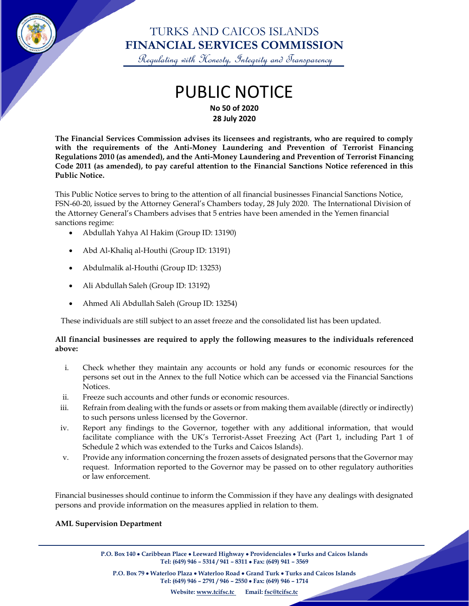

## TURKS AND CAICOS ISLANDS **FINANCIAL SERVICES COMMISSION**

Regulating with Honesty, Integrity and Transparency

### PUBLIC NOTICE **No 50 of 2020 28 July 2020**

**The Financial Services Commission advises its licensees and registrants, who are required to comply with the requirements of the Anti-Money Laundering and Prevention of Terrorist Financing Regulations 2010 (as amended), and the Anti-Money Laundering and Prevention of Terrorist Financing Code 2011 (as amended), to pay careful attention to the Financial Sanctions Notice referenced in this Public Notice.**

This Public Notice serves to bring to the attention of all financial businesses Financial Sanctions Notice, FSN-60-20, issued by the Attorney General's Chambers today, 28 July 2020. The International Division of the Attorney General's Chambers advises that 5 entries have been amended in the Yemen financial sanctions regime:

- Abdullah Yahya Al Hakim (Group ID: 13190)
- Abd Al-Khaliq al-Houthi (Group ID: 13191)
- Abdulmalik al-Houthi (Group ID: 13253)
- Ali Abdullah Saleh (Group ID: 13192)
- Ahmed Ali Abdullah Saleh (Group ID: 13254)

These individuals are still subject to an asset freeze and the consolidated list has been updated.

#### **All financial businesses are required to apply the following measures to the individuals referenced above:**

- i. Check whether they maintain any accounts or hold any funds or economic resources for the persons set out in the Annex to the full Notice which can be accessed via the Financial Sanctions **Notices**
- ii. Freeze such accounts and other funds or economic resources.
- iii. Refrain from dealing with the funds or assets or from making them available (directly or indirectly) to such persons unless licensed by the Governor.
- iv. Report any findings to the Governor, together with any additional information, that would facilitate compliance with the UK's Terrorist-Asset Freezing Act (Part 1, including Part 1 of Schedule 2 which was extended to the Turks and Caicos Islands).
- v. Provide any information concerning the frozen assets of designated persons that the Governor may request. Information reported to the Governor may be passed on to other regulatory authorities or law enforcement.

Financial businesses should continue to inform the Commission if they have any dealings with designated persons and provide information on the measures applied in relation to them.

#### **AML Supervision Department**

**P.O. Box 140** • **Caribbean Place** • **Leeward Highway** • **Providenciales** • **Turks and Caicos Islands Tel: (649) 946 – 5314 / 941 – 8311** • **Fax: (649) 941 – 3569**

 $\overline{\phantom{a}}$ 

**P.O. Box 79** • **Waterloo Plaza** • **Waterloo Road** • **Grand Turk** • **Turks and Caicos Islands Tel: (649) 946 – 2791 / 946 – 2550** • **Fax: (649) 946 – 1714**

**Website: [www.tcifsc.tc](http://www.tcifsc.tc/) Email[: fsc@tcifsc.tc](mailto:fsc@tcifsc.tc)**